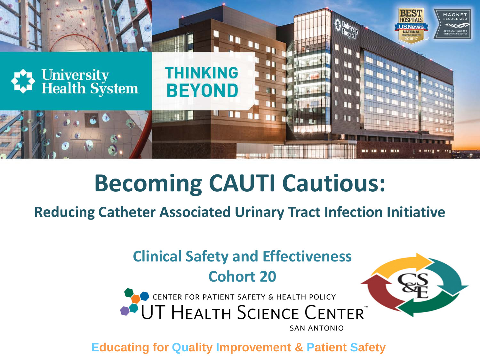

#### **Becoming CAUTI Cautious:**

**Reducing Catheter Associated Urinary Tract Infection Initiative**

#### **Clinical Safety and Effectiveness Cohort 20**



**Educating for Quality Improvement & Patient Safety**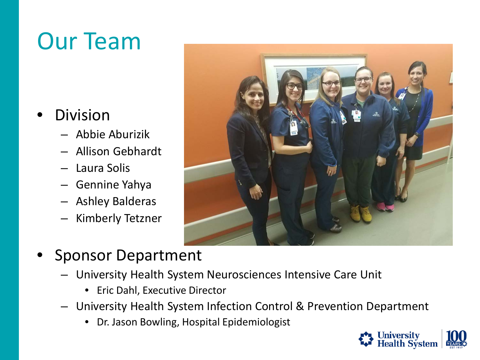## Our Team

- Division
	- Abbie Aburizik
	- Allison Gebhardt
	- Laura Solis
	- Gennine Yahya
	- Ashley Balderas
	- Kimberly Tetzner



- Sponsor Department
	- University Health System Neurosciences Intensive Care Unit
		- Eric Dahl, Executive Director
	- University Health System Infection Control & Prevention Department
		- Dr. Jason Bowling, Hospital Epidemiologist

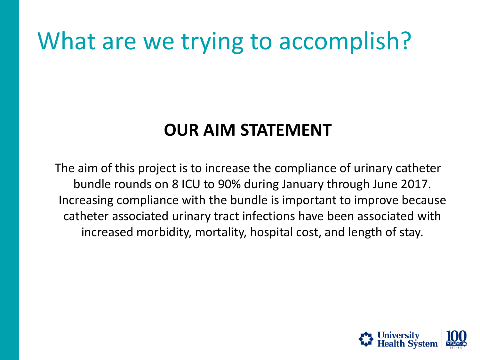#### What are we trying to accomplish?

#### **OUR AIM STATEMENT**

The aim of this project is to increase the compliance of urinary catheter bundle rounds on 8 ICU to 90% during January through June 2017. Increasing compliance with the bundle is important to improve because catheter associated urinary tract infections have been associated with increased morbidity, mortality, hospital cost, and length of stay.

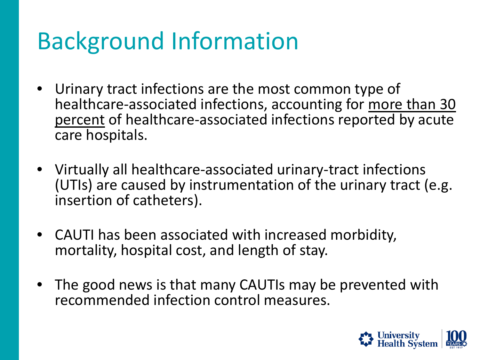## Background Information

- Urinary tract infections are the most common type of healthcare-associated infections, accounting for more than 30 percent of healthcare-associated infections reported by acute care hospitals.
- Virtually all healthcare-associated urinary-tract infections (UTIs) are caused by instrumentation of the urinary tract (e.g. insertion of catheters).
- CAUTI has been associated with increased morbidity, mortality, hospital cost, and length of stay.
- The good news is that many CAUTIs may be prevented with recommended infection control measures.

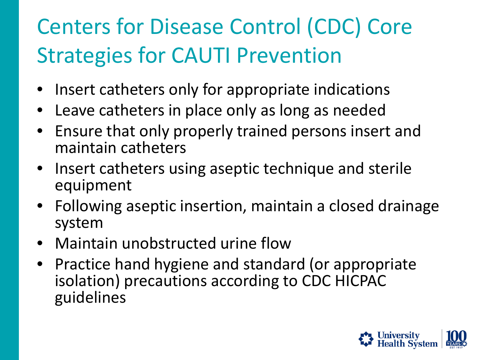### Centers for Disease Control (CDC) Core Strategies for CAUTI Prevention

- Insert catheters only for appropriate indications
- Leave catheters in place only as long as needed
- Ensure that only properly trained persons insert and maintain catheters
- Insert catheters using aseptic technique and sterile equipment
- Following aseptic insertion, maintain a closed drainage system
- Maintain unobstructed urine flow
- Practice hand hygiene and standard (or appropriate isolation) precautions according to CDC HICPAC guidelines

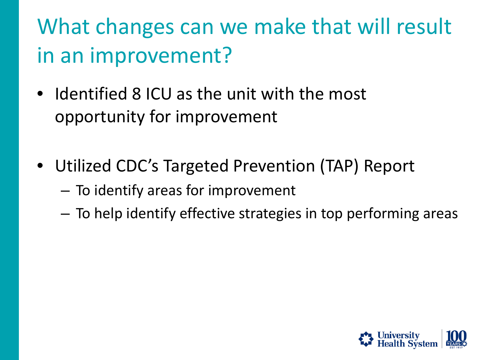What changes can we make that will result in an improvement?

- Identified 8 ICU as the unit with the most opportunity for improvement
- Utilized CDC's Targeted Prevention (TAP) Report
	- To identify areas for improvement
	- To help identify effective strategies in top performing areas

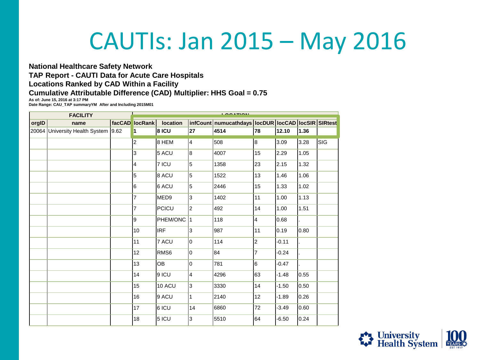#### CAUTIs: Jan 2015 – May 2016

#### **National Healthcare Safety Network TAP Report - CAUTI Data for Acute Care Hospitals Locations Ranked by CAD Within a Facility**

#### **Cumulative Attributable Difference (CAD) Multiplier: HHS Goal = 0.75**

**As of: June 15, 2016 at 3:17 PM**

**Date Range: CAU\_TAP summaryYM After and Including 2015M01**

|       | <b>FACILITY</b>          |      | $\sum_{i=1}^{n} \frac{1}{i} \sum_{j=1}^{n} \frac{1}{j} \sum_{j=1}^{n} \frac{1}{j} \sum_{j=1}^{n} \frac{1}{j} \sum_{j=1}^{n} \frac{1}{j} \sum_{j=1}^{n} \frac{1}{j} \sum_{j=1}^{n} \frac{1}{j} \sum_{j=1}^{n} \frac{1}{j} \sum_{j=1}^{n} \frac{1}{j} \sum_{j=1}^{n} \frac{1}{j} \sum_{j=1}^{n} \frac{1}{j} \sum_{j=1}^{n} \frac{1}{j} \sum_{j=1}^{n} \frac{1}{j$ |                  |                |                                                              |                |         |      |     |  |  |  |
|-------|--------------------------|------|-----------------------------------------------------------------------------------------------------------------------------------------------------------------------------------------------------------------------------------------------------------------------------------------------------------------------------------------------------------------|------------------|----------------|--------------------------------------------------------------|----------------|---------|------|-----|--|--|--|
| orgID | name                     |      | facCAD locRank                                                                                                                                                                                                                                                                                                                                                  | location         |                | infCount   numucathdays   locDUR   locCAD   locSIR   SIRtest |                |         |      |     |  |  |  |
| 20064 | University Health System | 9.62 | $\blacksquare$                                                                                                                                                                                                                                                                                                                                                  | 8 ICU            | 27             | 4514                                                         | 78             | 12.10   | 1.36 |     |  |  |  |
|       |                          |      | $\overline{2}$                                                                                                                                                                                                                                                                                                                                                  | 8 HEM            | 4              | 508                                                          | 8              | 3.09    | 3.28 | SIG |  |  |  |
|       |                          |      | 3                                                                                                                                                                                                                                                                                                                                                               | 5 ACU            | 8              | 4007                                                         | 15             | 2.29    | 1.05 |     |  |  |  |
|       |                          |      | $\overline{4}$                                                                                                                                                                                                                                                                                                                                                  | 7 ICU            | 5              | 1358                                                         | 23             | 2.15    | 1.32 |     |  |  |  |
|       |                          |      | 5                                                                                                                                                                                                                                                                                                                                                               | 8 ACU            | 5              | 1522                                                         | 13             | 1.46    | 1.06 |     |  |  |  |
|       |                          |      | l6                                                                                                                                                                                                                                                                                                                                                              | 6 ACU            | 5              | 2446                                                         | 15             | 1.33    | 1.02 |     |  |  |  |
|       |                          |      | $\overline{7}$                                                                                                                                                                                                                                                                                                                                                  | MED <sub>9</sub> | 3              | 1402                                                         | 11             | 1.00    | 1.13 |     |  |  |  |
|       |                          |      | $\overline{7}$                                                                                                                                                                                                                                                                                                                                                  | PCICU            | $\overline{2}$ | 492                                                          | 14             | 1.00    | 1.51 |     |  |  |  |
|       |                          |      | 9                                                                                                                                                                                                                                                                                                                                                               | <b>PHEM/ONC</b>  | 1              | 118                                                          | $\overline{4}$ | 0.68    |      |     |  |  |  |
|       |                          |      | 10                                                                                                                                                                                                                                                                                                                                                              | <b>IRF</b>       | 3              | 987                                                          | 11             | 0.19    | 0.80 |     |  |  |  |
|       |                          |      | 11                                                                                                                                                                                                                                                                                                                                                              | 7 ACU            | 0              | 114                                                          | $\overline{2}$ | $-0.11$ |      |     |  |  |  |
|       |                          |      | 12                                                                                                                                                                                                                                                                                                                                                              | RMS <sub>6</sub> | lo.            | 84                                                           | $\overline{7}$ | $-0.24$ |      |     |  |  |  |
|       |                          |      | 13                                                                                                                                                                                                                                                                                                                                                              | <b>OB</b>        | 0              | 781                                                          | 6              | $-0.47$ |      |     |  |  |  |
|       |                          |      | 14                                                                                                                                                                                                                                                                                                                                                              | 9 ICU            | 4              | 4296                                                         | 63             | $-1.48$ | 0.55 |     |  |  |  |
|       |                          |      | 15                                                                                                                                                                                                                                                                                                                                                              | 10 ACU           | 3              | 3330                                                         | 14             | $-1.50$ | 0.50 |     |  |  |  |
|       |                          |      | 16                                                                                                                                                                                                                                                                                                                                                              | 9 ACU            | 1              | 2140                                                         | 12             | $-1.89$ | 0.26 |     |  |  |  |
|       |                          |      | 17                                                                                                                                                                                                                                                                                                                                                              | $6$ ICU          | 14             | 6860                                                         | 72             | $-3.49$ | 0.60 |     |  |  |  |
|       |                          |      | 18                                                                                                                                                                                                                                                                                                                                                              | 5 ICU            | 3              | 5510                                                         | 64             | $-6.50$ | 0.24 |     |  |  |  |

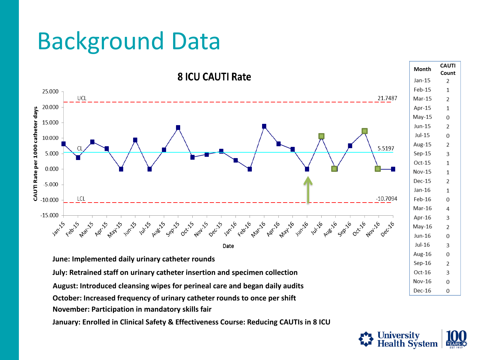#### Background Data



**January: Enrolled in Clinical Safety & Effectiveness Course: Reducing CAUTIs in 8 ICU**

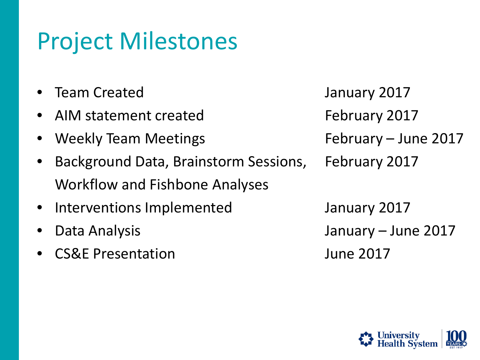### Project Milestones

- 
- AIM statement created February 2017
- Weekly Team Meetings The Summary June 2017
- Background Data, Brainstorm Sessions, February 2017 Workflow and Fishbone Analyses
- Interventions Implemented Theorem January 2017
- 
- CS&E Presentation June 2017

• Team Created January 2017 • Data Analysis January – June 2017

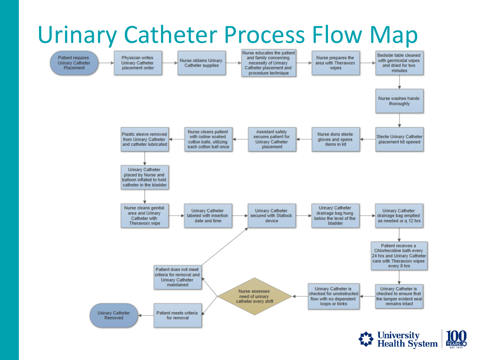#### Urinary Catheter Process Flow Map



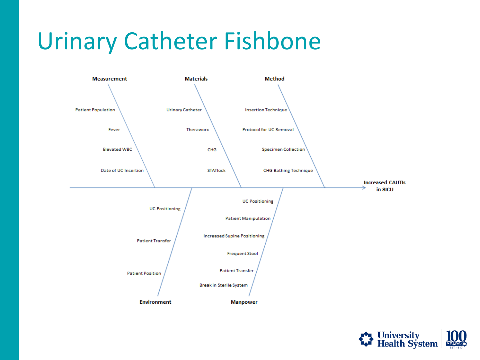#### Urinary Catheter Fishbone



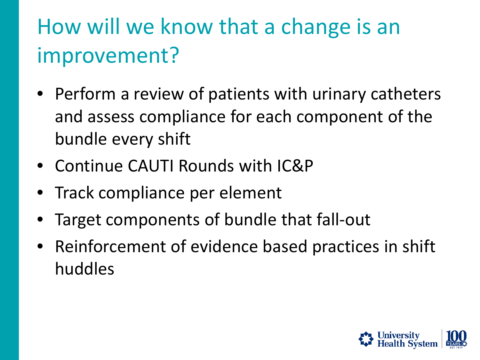#### How will we know that a change is an improvement?

- Perform a review of patients with urinary catheters and assess compliance for each component of the bundle every shift
- Continue CAUTI Rounds with IC&P
- Track compliance per element
- Target components of bundle that fall-out
- Reinforcement of evidence based practices in shift huddles

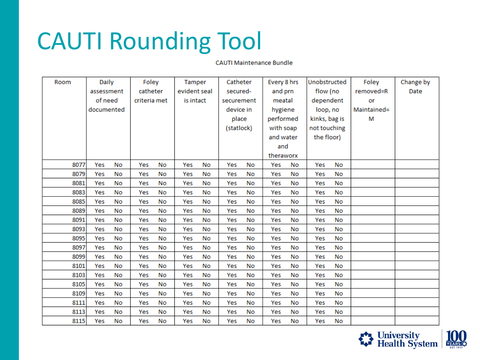### CAUTI Rounding Tool

**CAUTI Maintenance Bundle** 

| Room | Daily      |           | Foley        |           | Tamper       |           | Catheter   |            | Every 8 hrs |           | Unobstructed  |           | Foley       | Change by |
|------|------------|-----------|--------------|-----------|--------------|-----------|------------|------------|-------------|-----------|---------------|-----------|-------------|-----------|
|      | assessment |           | catheter     |           | evident seal |           | secured-   |            | and prn     |           | flow (no      |           | removed=R   | Date      |
|      | of need    |           | criteria met |           |              | is intact |            | securement |             | meatal    |               | dependent | or          |           |
|      | documented |           |              |           |              |           | device in  |            | hygiene     |           | loop, no      |           | Maintained= |           |
|      |            |           |              |           |              |           | place      |            | performed   |           | kinks, bag is |           | м           |           |
|      |            |           |              |           |              |           | (statlock) |            | with soap   |           | not touching  |           |             |           |
|      |            |           |              |           |              |           |            |            | and water   |           | the floor)    |           |             |           |
|      |            |           |              |           |              |           | and        |            |             |           |               |           |             |           |
|      |            |           |              |           |              |           |            | theraworx  |             |           |               |           |             |           |
| 8077 | Yes        | <b>No</b> | Yes          | No        | Yes          | <b>No</b> | Yes        | No         | Yes         | No        | Yes           | No        |             |           |
| 8079 | Yes        | No        | Yes          | No        | Yes          | No        | Yes        | No         | Yes         | <b>No</b> | Yes           | No        |             |           |
| 8081 | Yes        | <b>No</b> | Yes          | <b>No</b> | Yes          | No        | Yes        | No         | Yes         | <b>No</b> | Yes           | No        |             |           |
| 8083 | Yes        | No        | Yes          | No        | Yes          | No        | Yes        | No         | Yes         | No        | Yes           | No        |             |           |
| 8085 | Yes        | No        | Yes          | No        | Yes          | <b>No</b> | Yes        | <b>No</b>  | Yes         | <b>No</b> | Yes           | <b>No</b> |             |           |
| 8089 | Yes        | No        | Yes          | <b>No</b> | Yes          | No        | Yes        | No         | Yes         | No        | Yes           | No        |             |           |
| 8091 | Yes        | No        | Yes          | No        | Yes          | No        | Yes        | No         | Yes         | <b>No</b> | Yes           | No        |             |           |
| 8093 | Yes        | No        | Yes          | No        | Yes          | No        | Yes        | No         | Yes         | No        | Yes           | No        |             |           |
| 8095 | Yes        | <b>No</b> | Yes          | No        | Yes          | <b>No</b> | Yes        | No         | Yes         | <b>No</b> | Yes           | No        |             |           |
| 8097 | Yes        | <b>No</b> | Yes          | No        | Yes          | <b>No</b> | Yes        | No         | Yes         | <b>No</b> | Yes           | No        |             |           |
| 8099 | Yes        | No        | Yes          | No        | Yes          | No        | Yes        | No         | Yes         | No        | Yes           | No        |             |           |
| 8101 | Yes        | No        | Yes          | No        | Yes          | No        | Yes        | No         | Yes         | No        | Yes           | No        |             |           |
| 8103 | Yes        | <b>No</b> | Yes          | No        | Yes          | No        | Yes        | <b>No</b>  | Yes         | <b>No</b> | Yes           | <b>No</b> |             |           |
| 8105 | Yes        | No        | Yes          | No        | Yes          | No        | Yes        | No         | Yes         | No        | Yes           | No        |             |           |
| 8109 | Yes        | No        | Yes          | No        | Yes          | No        | Yes        | No         | Yes         | No        | Yes           | No        |             |           |
| 8111 | Yes        | No        | Yes          | No        | Yes          | No        | Yes        | No         | Yes         | No        | Yes           | No        |             |           |
| 8113 | Yes        | <b>No</b> | Yes          | <b>No</b> | Yes          | <b>No</b> | Yes        | No         | Yes         | <b>No</b> | Yes           | No        |             |           |
| 8115 | Yes        | No        | Yes          | No        | Yes          | No        | Yes        | No         | Yes         | No        | Yes           | No        |             |           |

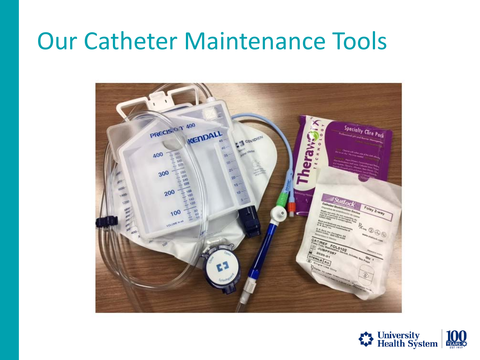#### Our Catheter Maintenance Tools



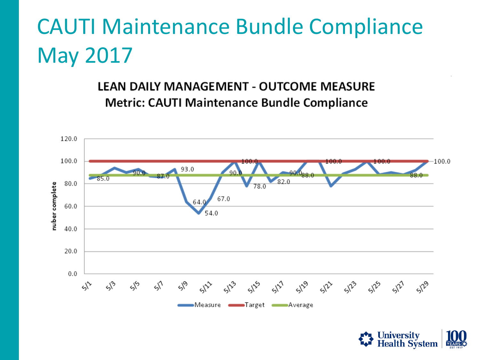#### CAUTI Maintenance Bundle Compliance May 2017

LEAN DAILY MANAGEMENT - OUTCOME MEASURE **Metric: CAUTI Maintenance Bundle Compliance** 



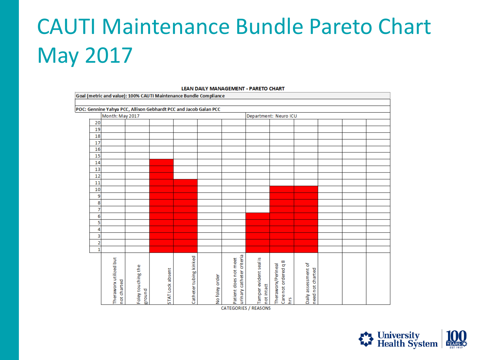## CAUTI Maintenance Bundle Pareto Chart May 2017

#### Goal (metric and value): 100% CAUTI Maintenance Bundle Compliance POC: Gennine Yahya PCC, Allison Gebhardt PCC and Jacob Galan PCC Month: May 2017 Department: Neuro ICU 20 19 18  $\overline{17}$ 16  $\overline{15}$ 14 13  $12$ 11  $10$  $\overline{9}$  $\mathbf{8}$  $\overline{7}$  $6<sup>1</sup>$  $\overline{\mathbf{5}}$  $\overline{4}$  $\vert$ 3  $\overline{2}$ Patient does not meet<br>urinary catheter criteria Catheter tubing kinked Theraworx utilized but Tamper evident seal is  $\infty$ Theraworx/Perineal<br>Care not ordered q 8<br>hrs assessment of Foley touching the Daily assessment of<br>need not charted STAT Lock absent No foley order not charted not intact ground

#### **LEAN DAILY MANAGEMENT - PARETO CHART**

**CATEGORIES / REASONS** 

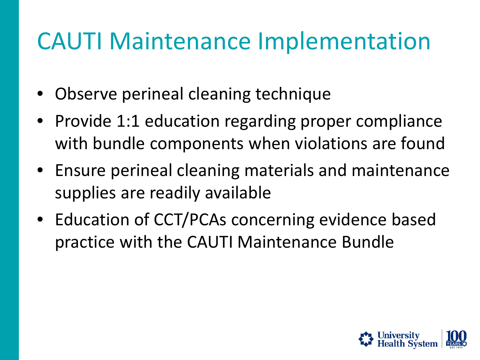#### CAUTI Maintenance Implementation

- Observe perineal cleaning technique
- Provide 1:1 education regarding proper compliance with bundle components when violations are found
- Ensure perineal cleaning materials and maintenance supplies are readily available
- Education of CCT/PCAs concerning evidence based practice with the CAUTI Maintenance Bundle

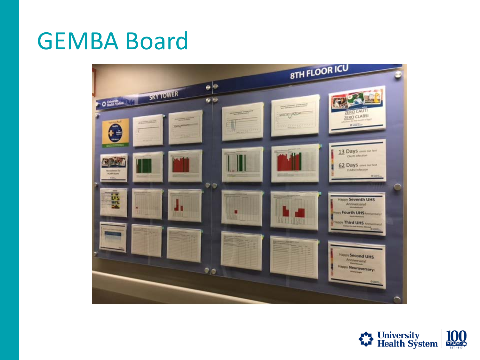#### GEMBA Board



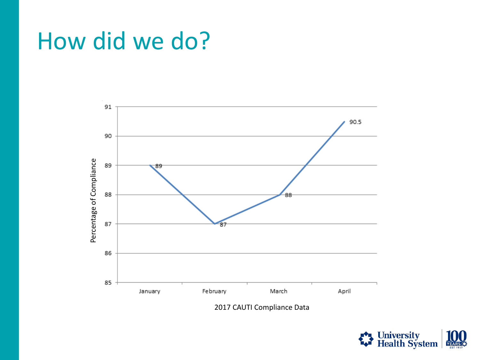#### How did we do?



2017 CAUTI Compliance Data

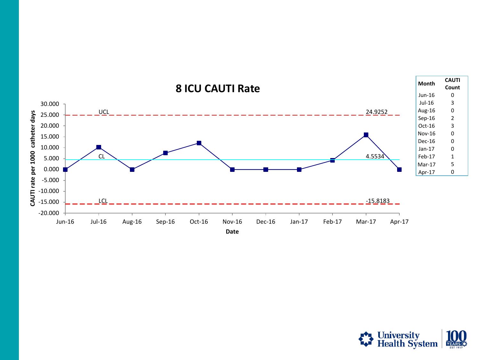

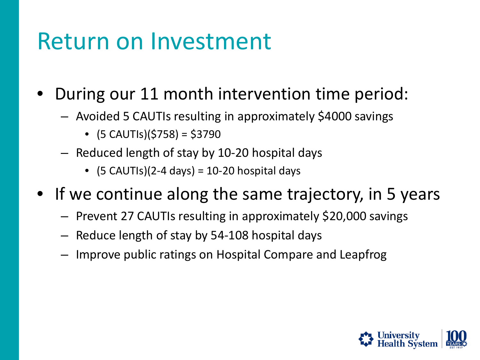#### Return on Investment

- During our 11 month intervention time period:
	- Avoided 5 CAUTIs resulting in approximately \$4000 savings
		- $\bullet$  (5 CAUTIs)(\$758) = \$3790
	- Reduced length of stay by 10-20 hospital days
		- $(5 CAUTIs)(2-4 days) = 10-20 hospital days$
- If we continue along the same trajectory, in 5 years
	- Prevent 27 CAUTIs resulting in approximately \$20,000 savings
	- Reduce length of stay by 54-108 hospital days
	- Improve public ratings on Hospital Compare and Leapfrog

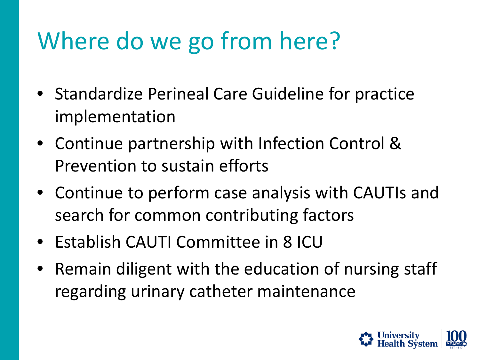## Where do we go from here?

- Standardize Perineal Care Guideline for practice implementation
- Continue partnership with Infection Control & Prevention to sustain efforts
- Continue to perform case analysis with CAUTIs and search for common contributing factors
- Establish CAUTI Committee in 8 ICU
- Remain diligent with the education of nursing staff regarding urinary catheter maintenance